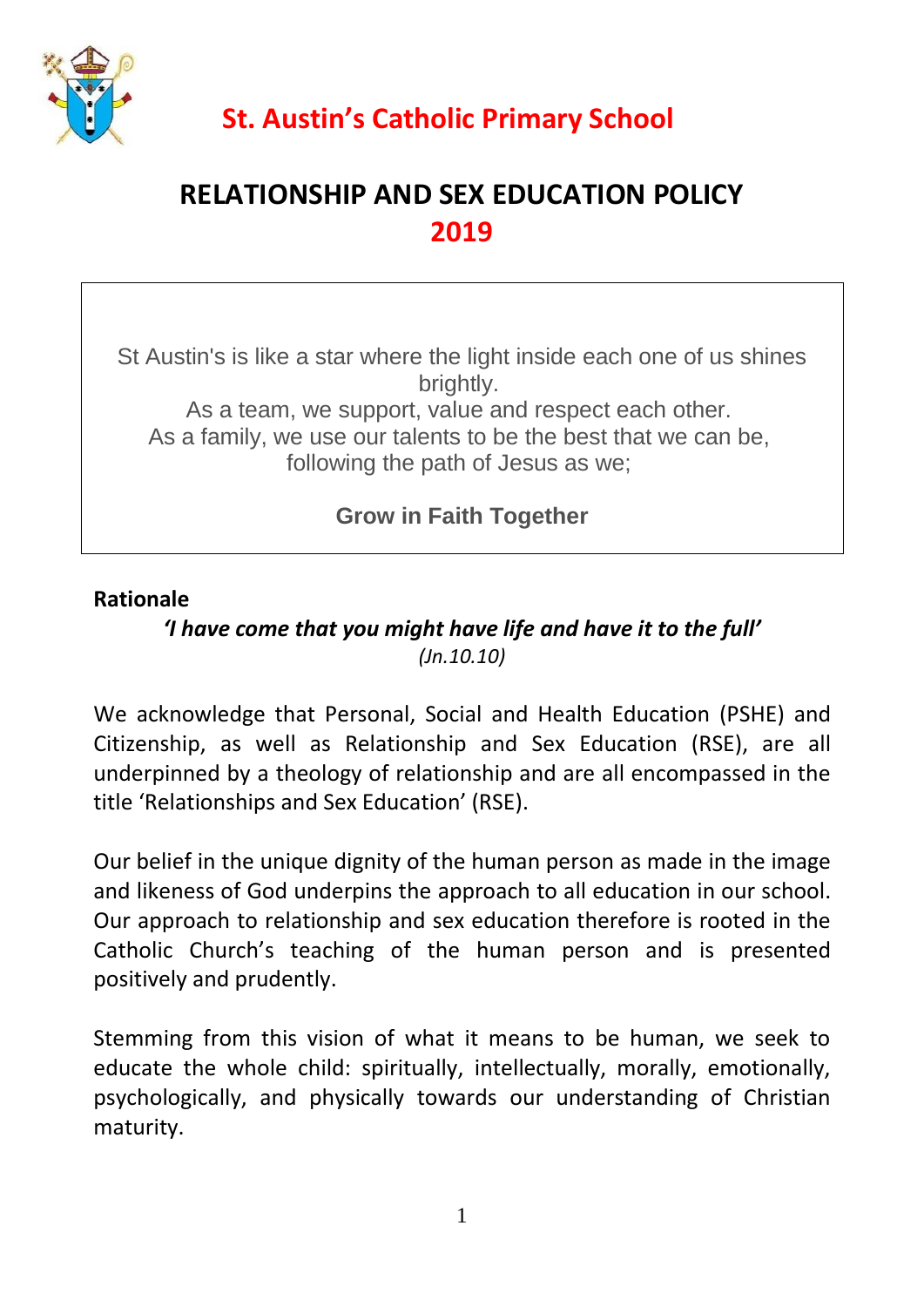

# **RELATIONSHIP AND SEX EDUCATION POLICY 2019**

St Austin's is like a star where the light inside each one of us shines brightly. As a team, we support, value and respect each other. As a family, we use our talents to be the best that we can be, following the path of Jesus as we;

**Grow in Faith Together**

#### **Rationale**

## *'I have come that you might have life and have it to the full' (Jn.10.10)*

We acknowledge that Personal, Social and Health Education (PSHE) and Citizenship, as well as Relationship and Sex Education (RSE), are all underpinned by a theology of relationship and are all encompassed in the title 'Relationships and Sex Education' (RSE).

Our belief in the unique dignity of the human person as made in the image and likeness of God underpins the approach to all education in our school. Our approach to relationship and sex education therefore is rooted in the Catholic Church's teaching of the human person and is presented positively and prudently.

Stemming from this vision of what it means to be human, we seek to educate the whole child: spiritually, intellectually, morally, emotionally, psychologically, and physically towards our understanding of Christian maturity.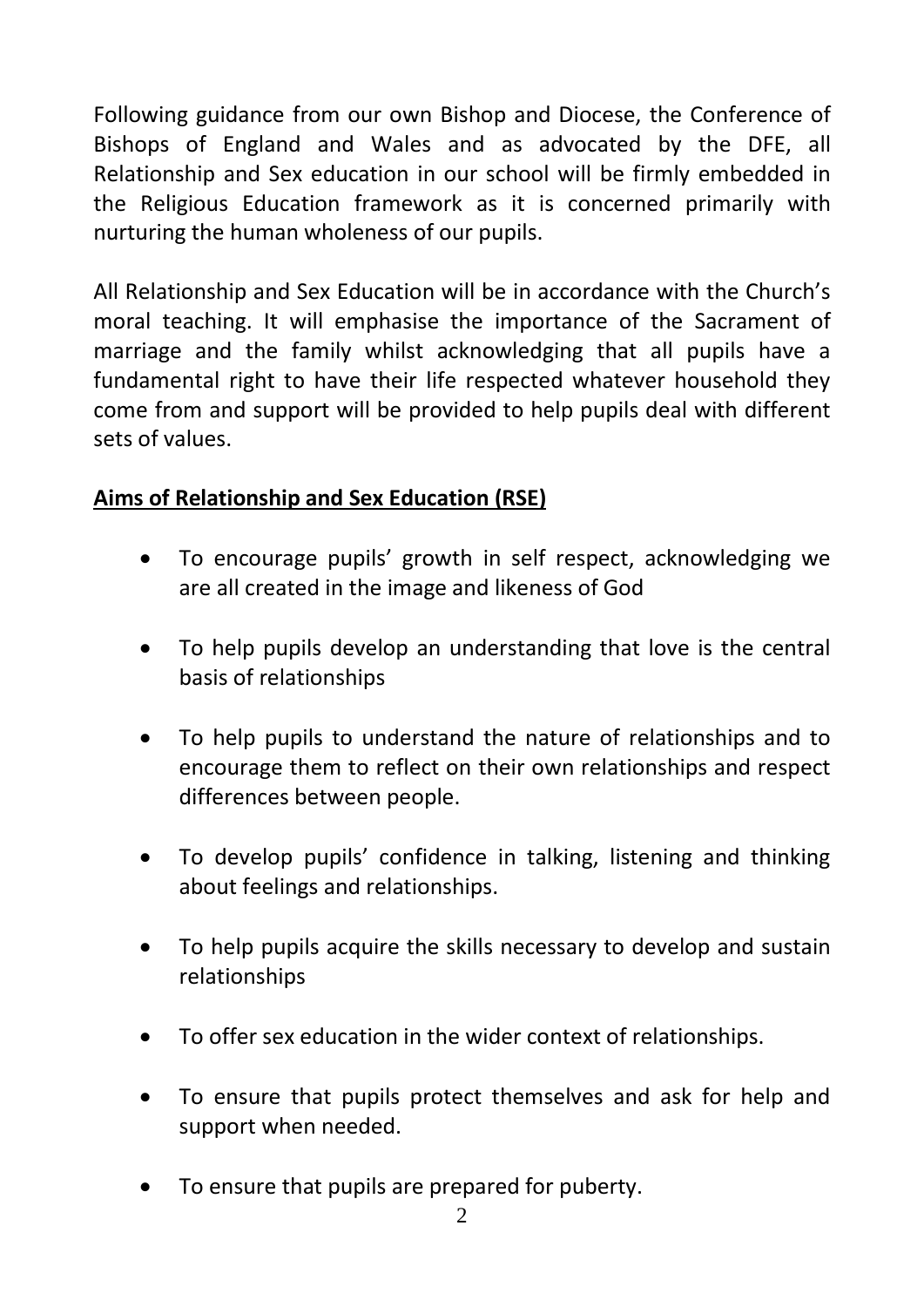Following guidance from our own Bishop and Diocese, the Conference of Bishops of England and Wales and as advocated by the DFE, all Relationship and Sex education in our school will be firmly embedded in the Religious Education framework as it is concerned primarily with nurturing the human wholeness of our pupils.

All Relationship and Sex Education will be in accordance with the Church's moral teaching. It will emphasise the importance of the Sacrament of marriage and the family whilst acknowledging that all pupils have a fundamental right to have their life respected whatever household they come from and support will be provided to help pupils deal with different sets of values.

## **Aims of Relationship and Sex Education (RSE)**

- To encourage pupils' growth in self respect, acknowledging we are all created in the image and likeness of God
- To help pupils develop an understanding that love is the central basis of relationships
- To help pupils to understand the nature of relationships and to encourage them to reflect on their own relationships and respect differences between people.
- To develop pupils' confidence in talking, listening and thinking about feelings and relationships.
- To help pupils acquire the skills necessary to develop and sustain relationships
- To offer sex education in the wider context of relationships.
- To ensure that pupils protect themselves and ask for help and support when needed.
- To ensure that pupils are prepared for puberty.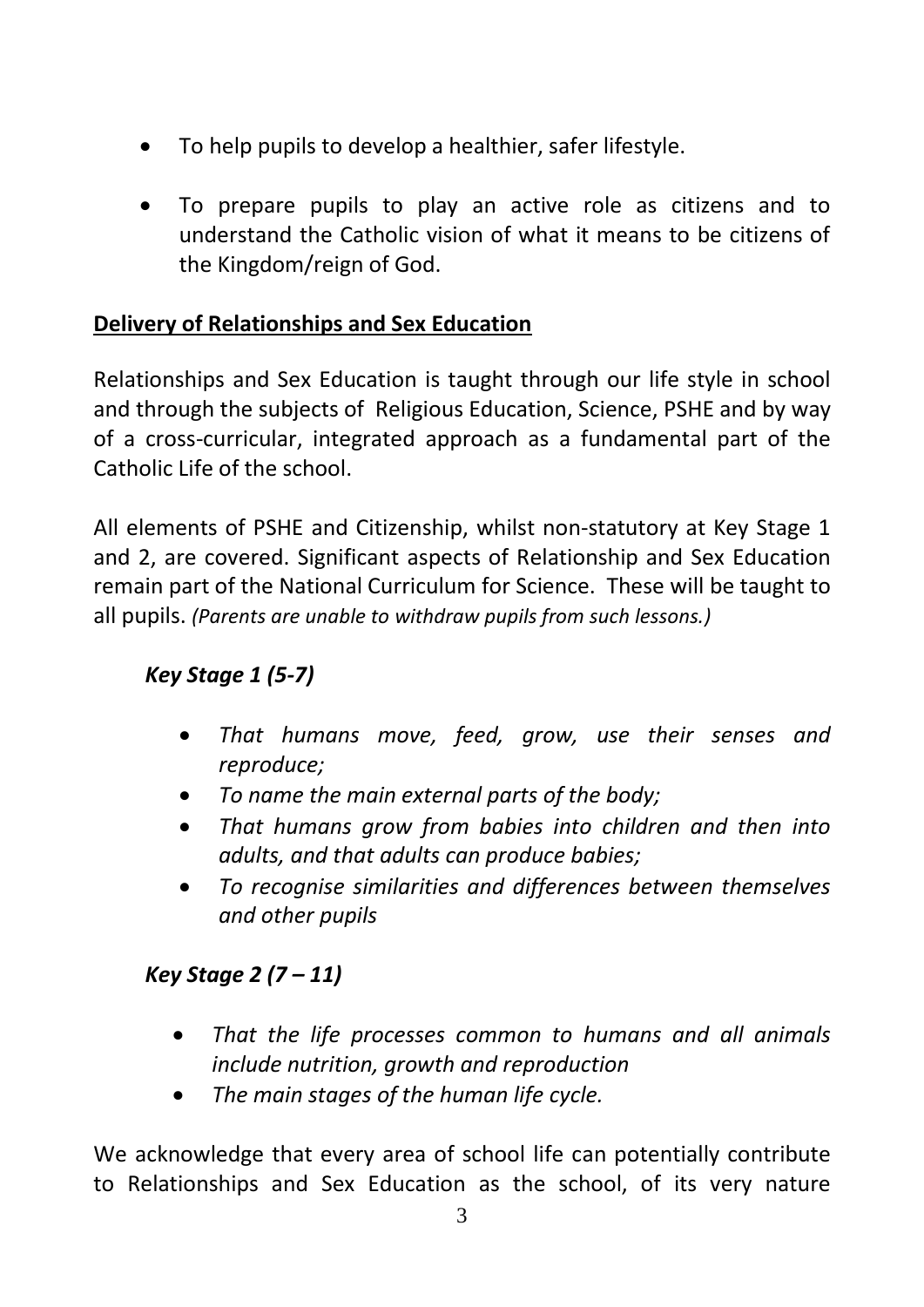- To help pupils to develop a healthier, safer lifestyle.
- To prepare pupils to play an active role as citizens and to understand the Catholic vision of what it means to be citizens of the Kingdom/reign of God.

#### **Delivery of Relationships and Sex Education**

Relationships and Sex Education is taught through our life style in school and through the subjects of Religious Education, Science, PSHE and by way of a cross-curricular, integrated approach as a fundamental part of the Catholic Life of the school.

All elements of PSHE and Citizenship, whilst non-statutory at Key Stage 1 and 2, are covered. Significant aspects of Relationship and Sex Education remain part of the National Curriculum for Science. These will be taught to all pupils. *(Parents are unable to withdraw pupils from such lessons.)*

## *Key Stage 1 (5-7)*

- *That humans move, feed, grow, use their senses and reproduce;*
- *To name the main external parts of the body;*
- *That humans grow from babies into children and then into adults, and that adults can produce babies;*
- *To recognise similarities and differences between themselves and other pupils*

## *Key Stage 2 (7 – 11)*

- *That the life processes common to humans and all animals include nutrition, growth and reproduction*
- *The main stages of the human life cycle.*

We acknowledge that every area of school life can potentially contribute to Relationships and Sex Education as the school, of its very nature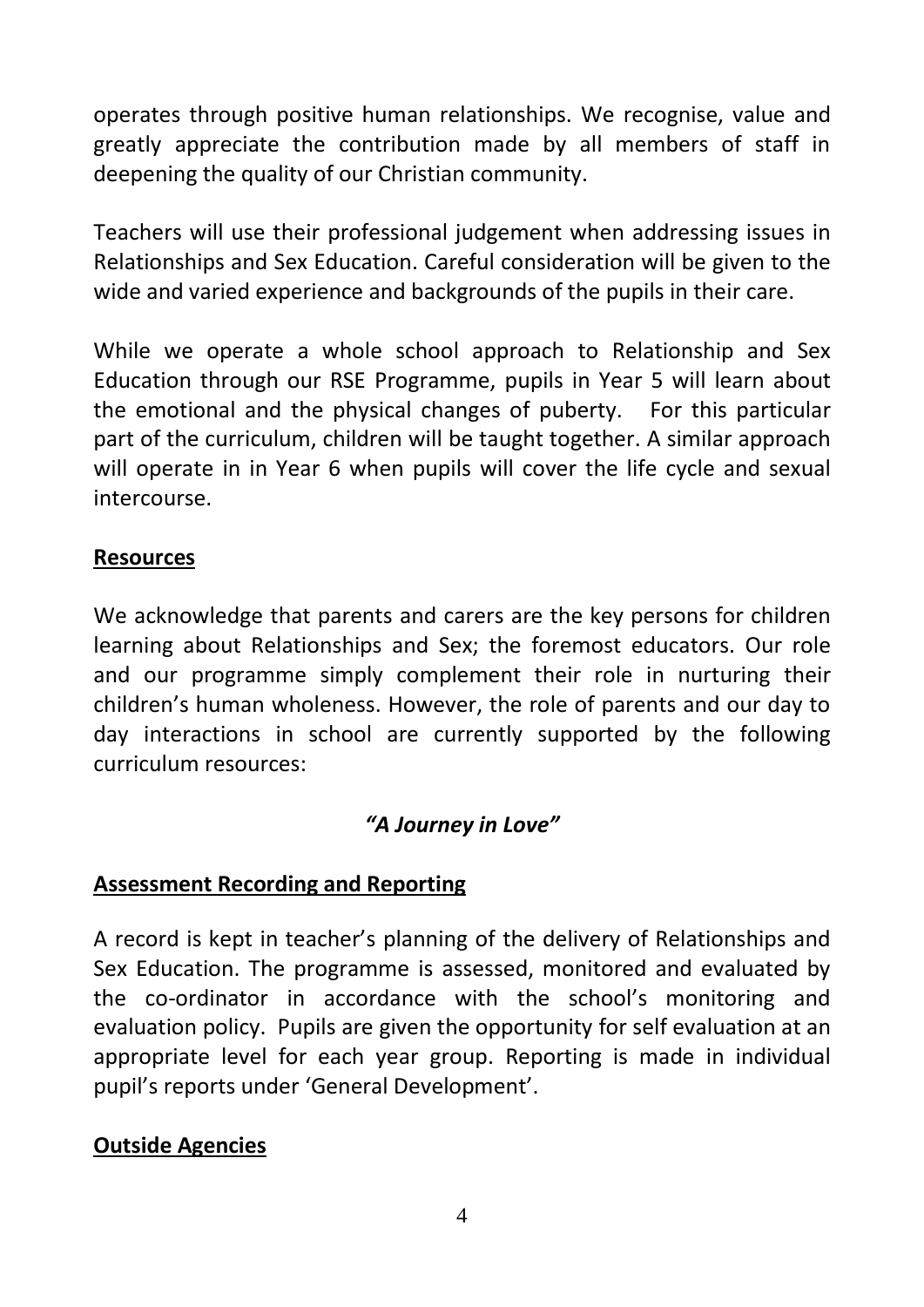operates through positive human relationships. We recognise, value and greatly appreciate the contribution made by all members of staff in deepening the quality of our Christian community.

Teachers will use their professional judgement when addressing issues in Relationships and Sex Education. Careful consideration will be given to the wide and varied experience and backgrounds of the pupils in their care.

While we operate a whole school approach to Relationship and Sex Education through our RSE Programme, pupils in Year 5 will learn about the emotional and the physical changes of puberty. For this particular part of the curriculum, children will be taught together. A similar approach will operate in in Year 6 when pupils will cover the life cycle and sexual intercourse.

#### **Resources**

We acknowledge that parents and carers are the key persons for children learning about Relationships and Sex; the foremost educators. Our role and our programme simply complement their role in nurturing their children's human wholeness. However, the role of parents and our day to day interactions in school are currently supported by the following curriculum resources:

## *"A Journey in Love"*

#### **Assessment Recording and Reporting**

A record is kept in teacher's planning of the delivery of Relationships and Sex Education. The programme is assessed, monitored and evaluated by the co-ordinator in accordance with the school's monitoring and evaluation policy. Pupils are given the opportunity for self evaluation at an appropriate level for each year group. Reporting is made in individual pupil's reports under 'General Development'.

## **Outside Agencies**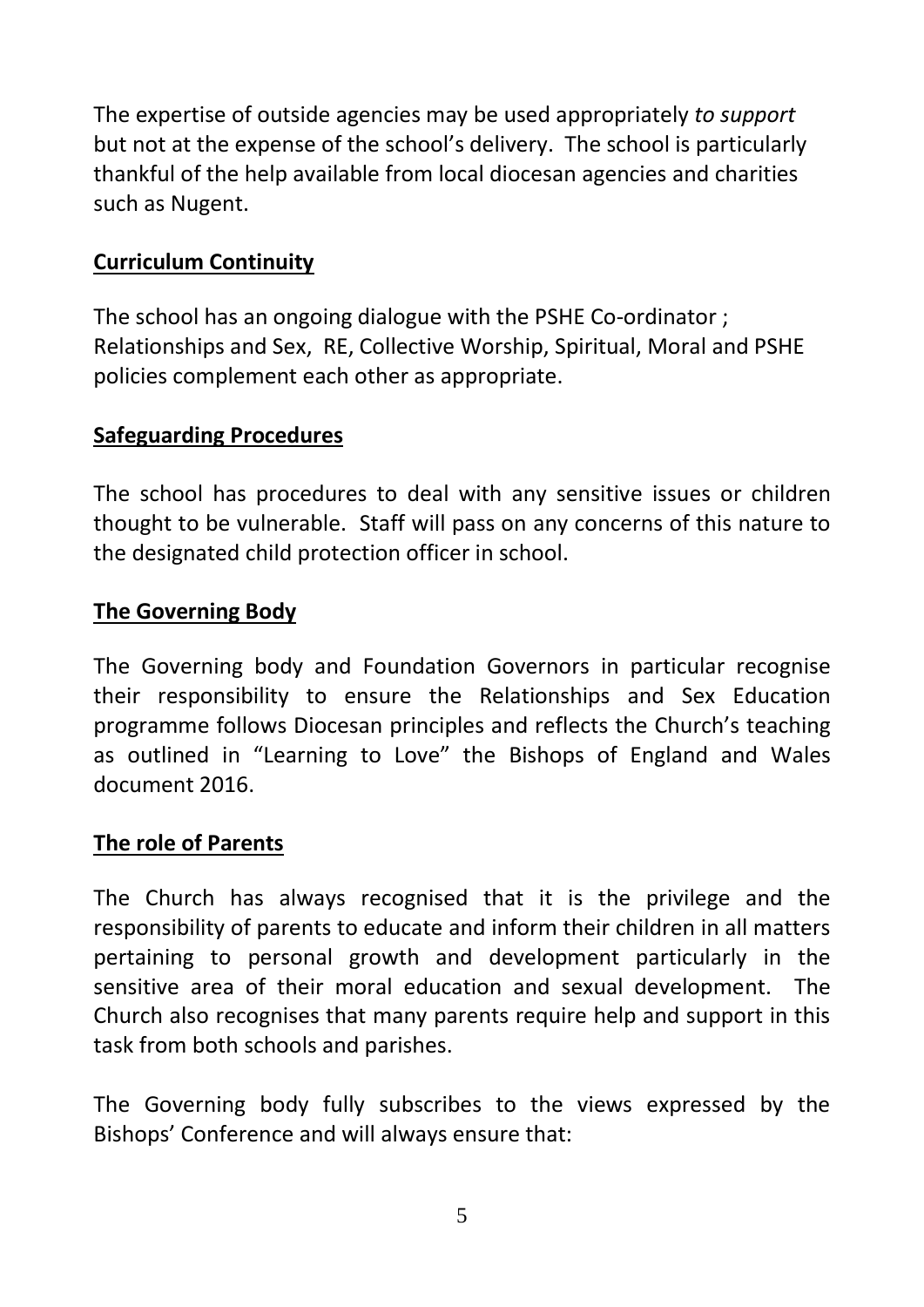The expertise of outside agencies may be used appropriately *to support* but not at the expense of the school's delivery. The school is particularly thankful of the help available from local diocesan agencies and charities such as Nugent.

### **Curriculum Continuity**

The school has an ongoing dialogue with the PSHE Co-ordinator ; Relationships and Sex, RE, Collective Worship, Spiritual, Moral and PSHE policies complement each other as appropriate.

## **Safeguarding Procedures**

The school has procedures to deal with any sensitive issues or children thought to be vulnerable. Staff will pass on any concerns of this nature to the designated child protection officer in school.

## **The Governing Body**

The Governing body and Foundation Governors in particular recognise their responsibility to ensure the Relationships and Sex Education programme follows Diocesan principles and reflects the Church's teaching as outlined in "Learning to Love" the Bishops of England and Wales document 2016.

#### **The role of Parents**

The Church has always recognised that it is the privilege and the responsibility of parents to educate and inform their children in all matters pertaining to personal growth and development particularly in the sensitive area of their moral education and sexual development. The Church also recognises that many parents require help and support in this task from both schools and parishes.

The Governing body fully subscribes to the views expressed by the Bishops' Conference and will always ensure that: